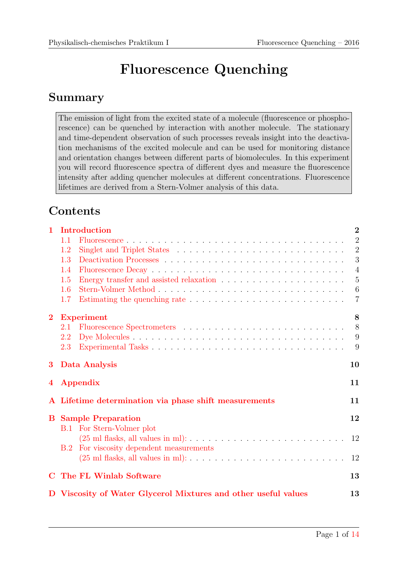# Fluorescence Quenching

### Summary

The emission of light from the excited state of a molecule (fluorescence or phosphorescence) can be quenched by interaction with another molecule. The stationary and time-dependent observation of such processes reveals insight into the deactivation mechanisms of the excited molecule and can be used for monitoring distance and orientation changes between different parts of biomolecules. In this experiment you will record fluorescence spectra of different dyes and measure the fluorescence intensity after adding quencher molecules at different concentrations. Fluorescence lifetimes are derived from a Stern-Volmer analysis of this data.

## **Contents**

| $\mathbf{1}$ | Introduction                                                                                                                             | $\overline{2}$ |
|--------------|------------------------------------------------------------------------------------------------------------------------------------------|----------------|
|              | 1.1                                                                                                                                      | $\overline{2}$ |
|              | 1.2                                                                                                                                      | $\overline{2}$ |
|              | 1.3                                                                                                                                      | 3              |
|              | 1.4                                                                                                                                      | $\overline{4}$ |
|              | 1.5                                                                                                                                      | $\overline{5}$ |
|              | 1.6                                                                                                                                      | 6              |
|              | 1.7                                                                                                                                      | $\overline{7}$ |
| $\bf{2}$     | <b>Experiment</b>                                                                                                                        | 8              |
|              | 2.1                                                                                                                                      | 8              |
|              | 2.2                                                                                                                                      | 9              |
|              | 2.3                                                                                                                                      | 9              |
| $\bf{3}$     | Data Analysis                                                                                                                            | 10             |
| 4            | <b>Appendix</b>                                                                                                                          | 11             |
|              | A Lifetime determination via phase shift measurements                                                                                    | 11             |
|              | <b>B</b> Sample Preparation                                                                                                              | 12             |
|              | <b>B.1</b> For Stern-Volmer plot                                                                                                         |                |
|              | $(25 \text{ ml } \text{flasks}, \text{ all values in ml}): \ldots \ldots \ldots \ldots \ldots \ldots \ldots \ldots \ldots \ldots \ldots$ | 12             |
|              | For viscosity dependent measurements<br>B.2                                                                                              |                |
|              | $(25 \text{ ml } \text{flasks}, \text{ all values in ml}): \ldots \ldots \ldots \ldots \ldots \ldots \ldots \ldots \ldots \ldots$        | 12             |
| $\mathbf C$  | The FL Winlab Software                                                                                                                   | 13             |
|              | D Viscosity of Water Glycerol Mixtures and other useful values                                                                           | 13             |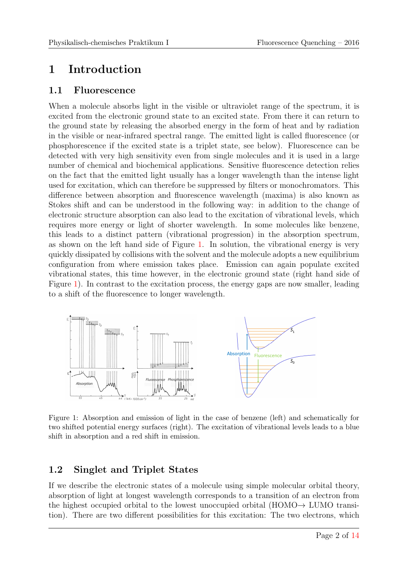### <span id="page-1-0"></span>1 Introduction

#### <span id="page-1-1"></span>1.1 Fluorescence

When a molecule absorbs light in the visible or ultraviolet range of the spectrum, it is excited from the electronic ground state to an excited state. From there it can return to the ground state by releasing the absorbed energy in the form of heat and by radiation in the visible or near-infrared spectral range. The emitted light is called fluorescence (or phosphorescence if the excited state is a triplet state, see below). Fluorescence can be detected with very high sensitivity even from single molecules and it is used in a large number of chemical and biochemical applications. Sensitive fluorescence detection relies on the fact that the emitted light usually has a longer wavelength than the intense light used for excitation, which can therefore be suppressed by filters or monochromators. This difference between absorption and fluorescence wavelength (maxima) is also known as Stokes shift and can be understood in the following way: in addition to the change of electronic structure absorption can also lead to the excitation of vibrational levels, which requires more energy or light of shorter wavelength. In some molecules like benzene, this leads to a distinct pattern (vibrational progression) in the absorption spectrum, as shown on the left hand side of Figure [1.](#page-1-3) In solution, the vibrational energy is very quickly dissipated by collisions with the solvent and the molecule adopts a new equilibrium configuration from where emission takes place. Emission can again populate excited vibrational states, this time however, in the electronic ground state (right hand side of Figure [1\)](#page-1-3). In contrast to the excitation process, the energy gaps are now smaller, leading to a shift of the fluorescence to longer wavelength.

<span id="page-1-3"></span>

Figure 1: Absorption and emission of light in the case of benzene (left) and schematically for two shifted potential energy surfaces (right). The excitation of vibrational levels leads to a blue shift in absorption and a red shift in emission.

#### <span id="page-1-2"></span>1.2 Singlet and Triplet States

If we describe the electronic states of a molecule using simple molecular orbital theory, absorption of light at longest wavelength corresponds to a transition of an electron from the highest occupied orbital to the lowest unoccupied orbital (HOMO $\rightarrow$  LUMO transition). There are two different possibilities for this excitation: The two electrons, which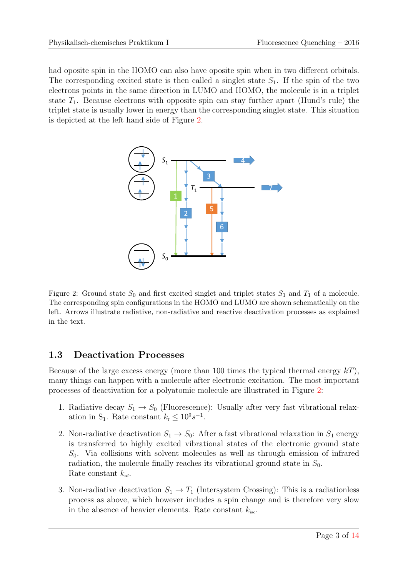<span id="page-2-1"></span>had oposite spin in the HOMO can also have oposite spin when in two different orbitals. The corresponding excited state is then called a singlet state  $S_1$ . If the spin of the two electrons points in the same direction in LUMO and HOMO, the molecule is in a triplet state  $T_1$ . Because electrons with opposite spin can stay further apart (Hund's rule) the triplet state is usually lower in energy than the corresponding singlet state. This situation is depicted at the left hand side of Figure [2.](#page-2-1)



Figure 2: Ground state  $S_0$  and first excited singlet and triplet states  $S_1$  and  $T_1$  of a molecule. The corresponding spin configurations in the HOMO and LUMO are shown schematically on the left. Arrows illustrate radiative, non-radiative and reactive deactivation processes as explained in the text.

#### <span id="page-2-0"></span>1.3 Deactivation Processes

Because of the large excess energy (more than 100 times the typical thermal energy  $kT$ ), many things can happen with a molecule after electronic excitation. The most important processes of deactivation for a polyatomic molecule are illustrated in Figure [2:](#page-2-1)

- 1. Radiative decay  $S_1 \rightarrow S_0$  (Fluorescence): Usually after very fast vibrational relaxation in S<sub>1</sub>. Rate constant  $k_f \leq 10^9 s^{-1}$ .
- 2. Non-radiative deactivation  $S_1 \rightarrow S_0$ : After a fast vibrational relaxation in  $S_1$  energy is transferred to highly excited vibrational states of the electronic ground state  $S_0$ . Via collisions with solvent molecules as well as through emission of infrared radiation, the molecule finally reaches its vibrational ground state in  $S_0$ . Rate constant  $k_{\text{nf}}$ .
- 3. Non-radiative deactivation  $S_1 \to T_1$  (Intersystem Crossing): This is a radiationless process as above, which however includes a spin change and is therefore very slow in the absence of heavier elements. Rate constant  $k_{\text{isc}}$ .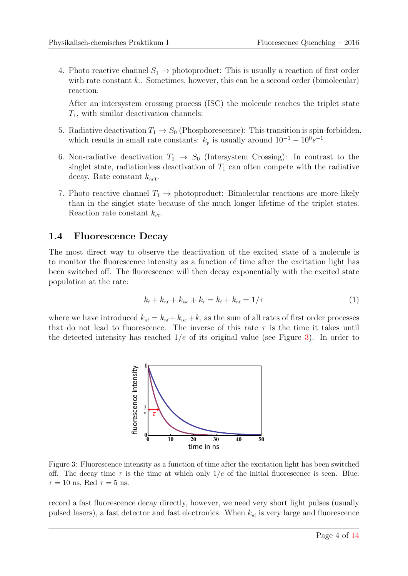4. Photo reactive channel  $S_1 \rightarrow \text{photoproduction}$ : This is usually a reaction of first order with rate constant  $k_r$ . Sometimes, however, this can be a second order (bimolecular) reaction.

After an intersystem crossing process (ISC) the molecule reaches the triplet state  $T_1$ , with similar deactivation channels:

- 5. Radiative deactivation  $T_1 \rightarrow S_0$  (Phosphorescence): This transition is spin-forbidden, which results in small rate constants:  $k_p$  is usually around  $10^{-1} - 10^0 s^{-1}$ .
- 6. Non-radiative deactivation  $T_1 \rightarrow S_0$  (Intersystem Crossing): In contrast to the singlet state, radiationless deactivation of  $T_1$  can often compete with the radiative decay. Rate constant  $k_{\text{nrT}}$ .
- 7. Photo reactive channel  $T_1 \rightarrow \text{photoproduction}$  reactions are more likely than in the singlet state because of the much longer lifetime of the triplet states. Reaction rate constant  $k_{\rm rT}$ .

#### <span id="page-3-0"></span>1.4 Fluorescence Decay

The most direct way to observe the deactivation of the excited state of a molecule is to monitor the fluorescence intensity as a function of time after the excitation light has been switched off. The fluorescence will then decay exponentially with the excited state population at the rate:

<span id="page-3-2"></span>
$$
k_{\rm f} + k_{\rm nf} + k_{\rm isc} + k_{\rm r} = k_{\rm f} + k_{\rm nf} = 1/\tau \tag{1}
$$

<span id="page-3-1"></span>where we have introduced  $k_{\text{nf}} = k_{\text{nf}} + k_{\text{isc}} + k_{\text{r}}$  as the sum of all rates of first order processes that do not lead to fluorescence. The inverse of this rate  $\tau$  is the time it takes until the detected intensity has reached  $1/e$  of its original value (see Figure [3\)](#page-3-1). In order to



Figure 3: Fluorescence intensity as a function of time after the excitation light has been switched off. The decay time  $\tau$  is the time at which only  $1/e$  of the initial fluorescence is seen. Blue:  $\tau = 10$  ns, Red  $\tau = 5$  ns.

record a fast fluorescence decay directly, however, we need very short light pulses (usually pulsed lasers), a fast detector and fast electronics. When  $k_{\rm nf}$  is very large and fluorescence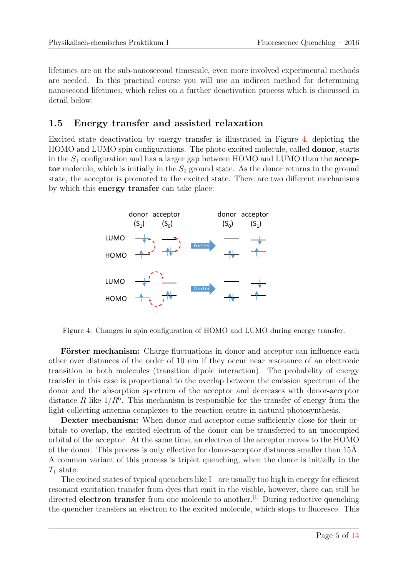lifetimes are on the sub-nanosecond timescale, even more involved experimental methods are needed. In this practical course you will use an indirect method for determining nanosecond lifetimes, which relies on a further deactivation process which is discussed in detail below:

#### <span id="page-4-0"></span>1.5 Energy transfer and assisted relaxation

Excited state deactivation by energy transfer is illustrated in Figure [4,](#page-4-1) depicting the HOMO and LUMO spin configurations. The photo excited molecule, called donor, starts in the  $S_1$  configuration and has a larger gap between HOMO and LUMO than the  $accept$ tor molecule, which is initially in the  $S_0$  ground state. As the donor returns to the ground state, the acceptor is promoted to the excited state. There are two different mechanisms by which this energy transfer can take place:

<span id="page-4-1"></span>

Figure 4: Changes in spin configuration of HOMO and LUMO during energy transfer.

Förster mechanism: Charge fluctuations in donor and acceptor can influence each other over distances of the order of 10 nm if they occur near resonance of an electronic transition in both molecules (transition dipole interaction). The probability of energy transfer in this case is proportional to the overlap between the emission spectrum of the donor and the absorption spectrum of the acceptor and decreases with donor-acceptor distance R like  $1/R^6$ . This mechanism is responsible for the transfer of energy from the light-collecting antenna complexes to the reaction centre in natural photosynthesis.

Dexter mechanism: When donor and acceptor come sufficiently close for their orbitals to overlap, the excited electron of the donor can be transferred to an unoccupied orbital of the acceptor. At the same time, an electron of the acceptor moves to the HOMO of the donor. This process is only effective for donor-acceptor distances smaller than 15Å. A common variant of this process is triplet quenching, when the donor is initially in the  $T_1$  state.

The excited states of typical quenchers like  $I^-$  are usually too high in energy for efficient resonant excitation transfer from dyes that emit in the visible, however, there can still be directed electron transfer from one molecule to another.<sup>[\[1\]](#page-12-2)</sup> During reductive quenching the quencher transfers an electron to the excited molecule, which stops to fluoresce. This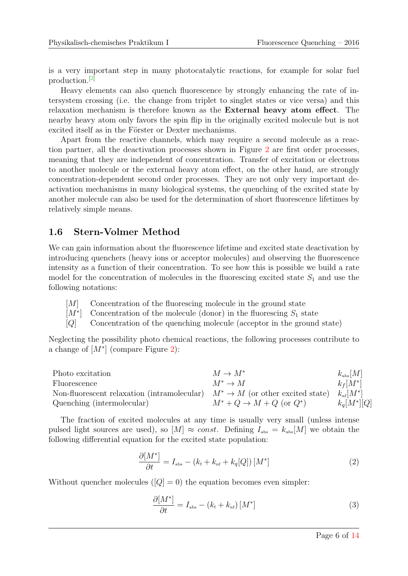is a very important step in many photocatalytic reactions, for example for solar fuel production.[\[2\]](#page-12-3)

Heavy elements can also quench fluorescence by strongly enhancing the rate of intersystem crossing (i.e. the change from triplet to singlet states or vice versa) and this relaxation mechanism is therefore known as the External heavy atom effect. The nearby heavy atom only favors the spin flip in the originally excited molecule but is not excited itself as in the Förster or Dexter mechanisms.

Apart from the reactive channels, which may require a second molecule as a reaction partner, all the deactivation processes shown in Figure [2](#page-2-1) are first order processes, meaning that they are independent of concentration. Transfer of excitation or electrons to another molecule or the external heavy atom effect, on the other hand, are strongly concentration-dependent second order processes. They are not only very important deactivation mechanisms in many biological systems, the quenching of the excited state by another molecule can also be used for the determination of short fluorescence lifetimes by relatively simple means.

#### <span id="page-5-0"></span>1.6 Stern-Volmer Method

We can gain information about the fluorescence lifetime and excited state deactivation by introducing quenchers (heavy ions or acceptor molecules) and observing the fluorescence intensity as a function of their concentration. To see how this is possible we build a rate model for the concentration of molecules in the fluorescing excited state  $S_1$  and use the following notations:

- [M] Concentration of the fluorescing molecule in the ground state
- $[M^*]$ Concentration of the molecule (donor) in the fluorescing  $S_1$  state
- [Q] Concentration of the quenching molecule (acceptor in the ground state)

Neglecting the possibility photo chemical reactions, the following processes contribute to a change of  $[M^*]$  (compare Figure [2\)](#page-2-1):

| Photo excitation                                                                 | $M \to M^*$                             | $k_{\rm abs}[M]$  |
|----------------------------------------------------------------------------------|-----------------------------------------|-------------------|
| Fluorescence                                                                     | $M^* \to M$                             | $k_f[M^*]$        |
| Non-fluorescent relaxation (intramolecular) $M^* \to M$ (or other excited state) |                                         | $k_{\rm nf}[M^*]$ |
| Quenching (intermolecular)                                                       | $M^* + Q \rightarrow M + Q$ (or $Q^*$ ) | $k_q[M^*][Q]$     |

The fraction of excited molecules at any time is usually very small (unless intense pulsed light sources are used), so  $[M] \approx const.$  Defining  $I_{\text{abs}} = k_{\text{abs}}[M]$  we obtain the following differential equation for the excited state population:

<span id="page-5-1"></span>
$$
\frac{\partial [M^*]}{\partial t} = I_{\text{abs}} - (k_{\text{f}} + k_{\text{nf}} + k_q[Q]) [M^*]
$$
\n(2)

Without quencher molecules  $([Q] = 0)$  the equation becomes even simpler:

<span id="page-5-2"></span>
$$
\frac{\partial [M^*]}{\partial t} = I_{\text{abs}} - (k_{\text{f}} + k_{\text{nf}}) [M^*]
$$
\n(3)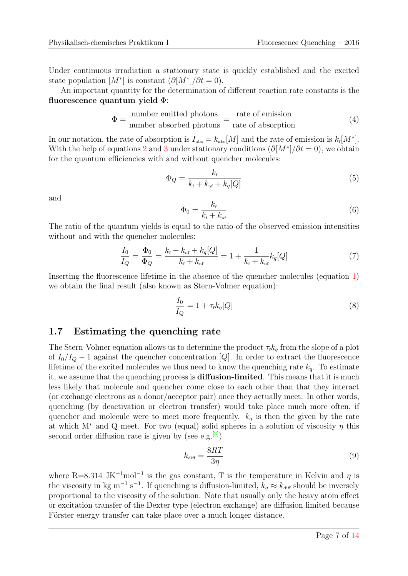Under continuous irradiation a stationary state is quickly established and the excited state population  $[M^*]$  is constant  $(\partial [M^*]/\partial t = 0)$ .

An important quantity for the determination of different reaction rate constants is the fluorescence quantum yield  $\Phi$ :

$$
\Phi = \frac{\text{number emitted photons}}{\text{number absorbed photons}} = \frac{\text{rate of emission}}{\text{rate of absorption}} \tag{4}
$$

In our notation, the rate of absorption is  $I_{\text{abs}} = k_{\text{abs}}[M]$  and the rate of emission is  $k_{\text{f}}[M^*]$ . With the help of equations [2](#page-5-1) and [3](#page-5-2) under stationary conditions  $(\partial [M^*]/\partial t = 0)$ , we obtain for the quantum efficiencies with and without quencher molecules:

$$
\Phi_Q = \frac{k_{\rm f}}{k_{\rm f} + k_{\rm nf} + k_q[Q]} \tag{5}
$$

and

$$
\Phi_0 = \frac{k_{\rm f}}{k_{\rm f} + k_{\rm nf}}\tag{6}
$$

The ratio of the quantum yields is equal to the ratio of the observed emission intensities without and with the quencher molecules:

$$
\frac{I_0}{I_Q} = \frac{\Phi_0}{\Phi_Q} = \frac{k_{\rm f} + k_{\rm nf} + k_q[Q]}{k_{\rm f} + k_{\rm nf}} = 1 + \frac{1}{k_{\rm f} + k_{\rm nf}} k_q[Q] \tag{7}
$$

Inserting the fluorescence lifetime in the absence of the quencher molecules (equation [1\)](#page-3-2) we obtain the final result (also known as Stern-Volmer equation):

<span id="page-6-1"></span>
$$
\frac{I_0}{I_Q} = 1 + \tau_{\rm f} k_q [Q] \tag{8}
$$

#### <span id="page-6-0"></span>1.7 Estimating the quenching rate

The Stern-Volmer equation allows us to determine the product  $\tau_{f}k_{q}$  from the slope of a plot of  $I_0/I_Q - 1$  against the quencher concentration [Q]. In order to extract the fluorescence lifetime of the excited molecules we thus need to know the quenching rate  $k_q$ . To estimate it, we assume that the quenching process is diffusion-limited. This means that it is much less likely that molecule and quencher come close to each other than that they interact (or exchange electrons as a donor/acceptor pair) once they actually meet. In other words, quenching (by deactivation or electron transfer) would take place much more often, if quencher and molecule were to meet more frequently.  $k_q$  is then the given by the rate at which M<sup>\*</sup> and Q meet. For two (equal) solid spheres in a solution of viscosity  $\eta$  this second order diffusion rate is given by (see e.g.  $[3]$ )

<span id="page-6-2"></span>
$$
k_{\text{diff}} = \frac{8RT}{3\eta} \tag{9}
$$

where R=8.314 JK<sup>-1</sup>mol<sup>-1</sup> is the gas constant, T is the temperature in Kelvin and  $\eta$  is the viscosity in kg m<sup>-1</sup> s<sup>-1</sup>. If quenching is diffusion-limited,  $k_q \approx k_{\text{diff}}$  should be inversely proportional to the viscosity of the solution. Note that usually only the heavy atom effect or excitation transfer of the Dexter type (electron exchange) are diffusion limited because Förster energy transfer can take place over a much longer distance.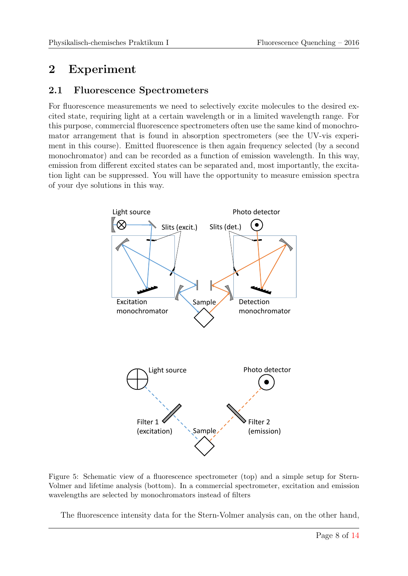### <span id="page-7-0"></span>2 Experiment

#### <span id="page-7-1"></span>2.1 Fluorescence Spectrometers

For fluorescence measurements we need to selectively excite molecules to the desired excited state, requiring light at a certain wavelength or in a limited wavelength range. For this purpose, commercial fluorescence spectrometers often use the same kind of monochromator arrangement that is found in absorption spectrometers (see the UV-vis experiment in this course). Emitted fluorescence is then again frequency selected (by a second monochromator) and can be recorded as a function of emission wavelength. In this way, emission from different excited states can be separated and, most importantly, the excitation light can be suppressed. You will have the opportunity to measure emission spectra of your dye solutions in this way.

<span id="page-7-2"></span>

Figure 5: Schematic view of a fluorescence spectrometer (top) and a simple setup for Stern-Volmer and lifetime analysis (bottom). In a commercial spectrometer, excitation and emission wavelengths are selected by monochromators instead of filters

The fluorescence intensity data for the Stern-Volmer analysis can, on the other hand,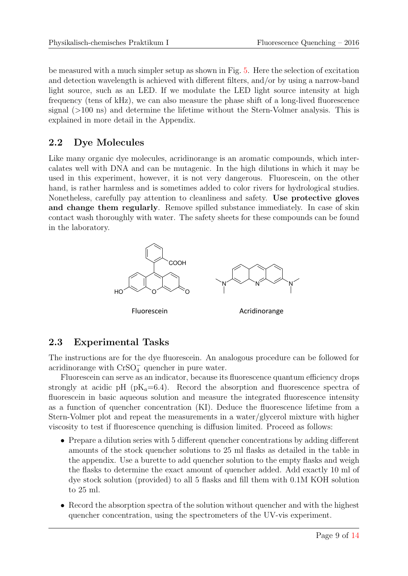be measured with a much simpler setup as shown in Fig. [5.](#page-7-2) Here the selection of excitation and detection wavelength is achieved with different filters, and/or by using a narrow-band light source, such as an LED. If we modulate the LED light source intensity at high frequency (tens of kHz), we can also measure the phase shift of a long-lived fluorescence signal (>100 ns) and determine the lifetime without the Stern-Volmer analysis. This is explained in more detail in the Appendix.

### <span id="page-8-0"></span>2.2 Dye Molecules

Like many organic dye molecules, acridinorange is an aromatic compounds, which intercalates well with DNA and can be mutagenic. In the high dilutions in which it may be used in this experiment, however, it is not very dangerous. Fluorescein, on the other hand, is rather harmless and is sometimes added to color rivers for hydrological studies. Nonetheless, carefully pay attention to cleanliness and safety. Use protective gloves and change them regularly. Remove spilled substance immediately. In case of skin contact wash thoroughly with water. The safety sheets for these compounds can be found in the laboratory.



Fluorescein **Acridinorange** 

### <span id="page-8-1"></span>2.3 Experimental Tasks

The instructions are for the dye fluorescein. An analogous procedure can be followed for acridinorange with  $CrSO_4^-$  quencher in pure water.

Fluorescein can serve as an indicator, because its fluorescence quantum efficiency drops strongly at acidic pH ( $pK_a=6.4$ ). Record the absorption and fluorescence spectra of fluorescein in basic aqueous solution and measure the integrated fluorescence intensity as a function of quencher concentration (KI). Deduce the fluorescence lifetime from a Stern-Volmer plot and repeat the measurements in a water/glycerol mixture with higher viscosity to test if fluorescence quenching is diffusion limited. Proceed as follows:

- Prepare a dilution series with 5 different quencher concentrations by adding different amounts of the stock quencher solutions to 25 ml flasks as detailed in the table in the appendix. Use a burette to add quencher solution to the empty flasks and weigh the flasks to determine the exact amount of quencher added. Add exactly 10 ml of dye stock solution (provided) to all 5 flasks and fill them with 0.1M KOH solution to 25 ml.
- Record the absorption spectra of the solution without quencher and with the highest quencher concentration, using the spectrometers of the UV-vis experiment.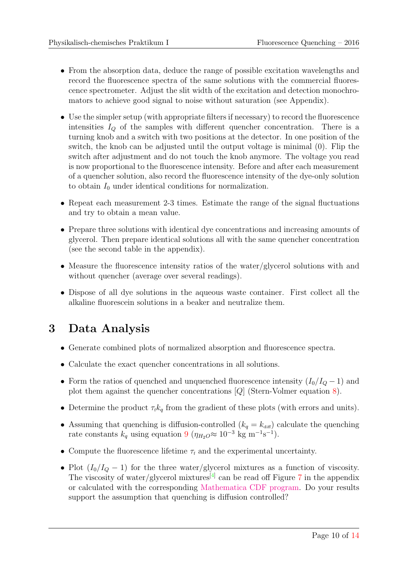- From the absorption data, deduce the range of possible excitation wavelengths and record the fluorescence spectra of the same solutions with the commercial fluorescence spectrometer. Adjust the slit width of the excitation and detection monochromators to achieve good signal to noise without saturation (see Appendix).
- Use the simpler setup (with appropriate filters if necessary) to record the fluorescence intensities  $I_Q$  of the samples with different quencher concentration. There is a turning knob and a switch with two positions at the detector. In one position of the switch, the knob can be adjusted until the output voltage is minimal (0). Flip the switch after adjustment and do not touch the knob anymore. The voltage you read is now proportional to the fluorescence intensity. Before and after each measurement of a quencher solution, also record the fluorescence intensity of the dye-only solution to obtain  $I_0$  under identical conditions for normalization.
- Repeat each measurement 2-3 times. Estimate the range of the signal fluctuations and try to obtain a mean value.
- Prepare three solutions with identical dye concentrations and increasing amounts of glycerol. Then prepare identical solutions all with the same quencher concentration (see the second table in the appendix).
- Measure the fluorescence intensity ratios of the water/glycerol solutions with and without quencher (average over several readings).
- Dispose of all dye solutions in the aqueous waste container. First collect all the alkaline fluorescein solutions in a beaker and neutralize them.

## <span id="page-9-0"></span>3 Data Analysis

- Generate combined plots of normalized absorption and fluorescence spectra.
- Calculate the exact quencher concentrations in all solutions.
- Form the ratios of quenched and unquenched fluorescence intensity  $(I_0/I_Q 1)$  and plot them against the quencher concentrations [Q] (Stern-Volmer equation [8\)](#page-6-1).
- Determine the product  $\tau_{f}k_{q}$  from the gradient of these plots (with errors and units).
- Assuming that quenching is diffusion-controlled  $(k_q = k_{\text{diff}})$  calculate the quenching rate constants  $k_q$  using equation [9](#page-6-2) ( $\eta_{H_2O} \approx 10^{-3}$  kg m<sup>-1</sup>s<sup>-1</sup>).
- Compute the fluorescence lifetime  $\tau_f$  and the experimental uncertainty.
- Plot  $(I_0/I_0 1)$  for the three water/glycerol mixtures as a function of viscosity. The viscosity of water/glycerol mixtures<sup>[\[4\]](#page-13-2)</sup> can be read off Figure [7](#page-13-3) in the appendix or calculated with the corresponding [Mathematica CDF program.](http://www.chem.uzh.ch/static/lectures/Wolfram/ViscosityGlycerolWaterMixture.cdf) Do your results support the assumption that quenching is diffusion controlled?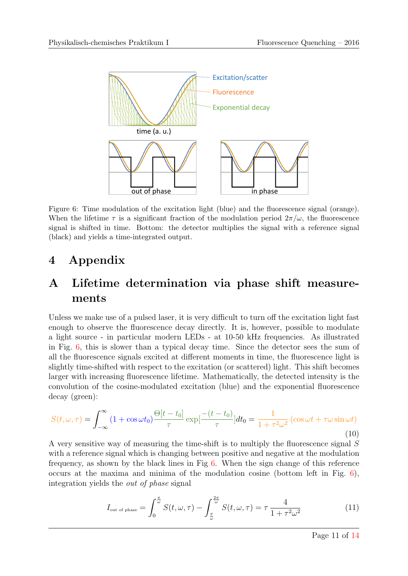<span id="page-10-2"></span>

Figure 6: Time modulation of the excitation light (blue) and the fluorescence signal (orange). When the lifetime  $\tau$  is a significant fraction of the modulation period  $2\pi/\omega$ , the fluorescence signal is shifted in time. Bottom: the detector multiplies the signal with a reference signal (black) and yields a time-integrated output.

### <span id="page-10-0"></span>4 Appendix

## <span id="page-10-1"></span>A Lifetime determination via phase shift measurements

Unless we make use of a pulsed laser, it is very difficult to turn off the excitation light fast enough to observe the fluorescence decay directly. It is, however, possible to modulate a light source - in particular modern LEDs - at 10-50 kHz frequencies. As illustrated in Fig. [6,](#page-10-2) this is slower than a typical decay time. Since the detector sees the sum of all the fluorescence signals excited at different moments in time, the fluorescence light is slightly time-shifted with respect to the excitation (or scattered) light. This shift becomes larger with increasing fluorescence lifetime. Mathematically, the detected intensity is the convolution of the cosine-modulated excitation (blue) and the exponential fluorescence decay (green):

$$
S(t,\omega,\tau) = \int_{-\infty}^{\infty} (1 + \cos \omega t_0) \frac{\Theta[t - t_0]}{\tau} \exp\left[\frac{-(t - t_0)}{\tau}\right] dt_0 = \frac{1}{1 + \tau^2 \omega^2} \left(\cos \omega t + \tau \omega \sin \omega t\right)
$$
\n(10)

A very sensitive way of measuring the time-shift is to multiply the fluorescence signal S with a reference signal which is changing between positive and negative at the modulation frequency, as shown by the black lines in Fig [6.](#page-10-2) When the sign change of this reference occurs at the maxima and minima of the modulation cosine (bottom left in Fig. [6\)](#page-10-2), integration yields the out of phase signal

$$
I_{\text{out of phase}} = \int_0^{\frac{\pi}{\omega}} S(t, \omega, \tau) - \int_{\frac{\pi}{\omega}}^{2\pi} S(t, \omega, \tau) = \tau \frac{4}{1 + \tau^2 \omega^2}
$$
(11)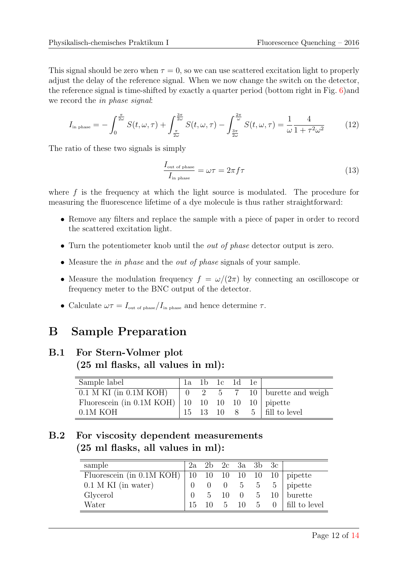This signal should be zero when  $\tau = 0$ , so we can use scattered excitation light to properly adjust the delay of the reference signal. When we now change the switch on the detector, the reference signal is time-shifted by exactly a quarter period (bottom right in Fig. [6\)](#page-10-2)and we record the in phase signal:

$$
I_{\text{in phase}} = -\int_0^{\frac{\pi}{2\omega}} S(t,\omega,\tau) + \int_{\frac{\pi}{2\omega}}^{\frac{3\pi}{2\omega}} S(t,\omega,\tau) - \int_{\frac{3\pi}{2\omega}}^{\frac{2\pi}{\omega}} S(t,\omega,\tau) = \frac{1}{\omega} \frac{4}{1 + \tau^2 \omega^2}
$$
(12)

The ratio of these two signals is simply

$$
\frac{I_{\text{out of phase}}}{I_{\text{in phase}}} = \omega \tau = 2\pi f \tau \tag{13}
$$

where f is the frequency at which the light source is modulated. The procedure for measuring the fluorescence lifetime of a dye molecule is thus rather straightforward:

- Remove any filters and replace the sample with a piece of paper in order to record the scattered excitation light.
- Turn the potentiometer knob until the *out of phase* detector output is zero.
- Measure the in phase and the out of phase signals of your sample.
- Measure the modulation frequency  $f = \omega/(2\pi)$  by connecting an oscilloscope or frequency meter to the BNC output of the detector.
- Calculate  $\omega \tau = I_{\text{out of phase}}/I_{\text{in phase}}$  and hence determine  $\tau$ .

### <span id="page-11-0"></span>B Sample Preparation

#### <span id="page-11-1"></span>B.1 For Stern-Volmer plot (25 ml flasks, all values in ml):

| Sample label                                                |  | la 1b 1c 1d 1e |                              |
|-------------------------------------------------------------|--|----------------|------------------------------|
|                                                             |  |                |                              |
| Fluorescein (in 0.1M KOH)   10 $10$ 10 $10$ 10 $10$ pipette |  |                |                              |
| $0.1M$ KOH                                                  |  |                | 15 13 10 8 5   fill to level |

### <span id="page-11-2"></span>B.2 For viscosity dependent measurements (25 ml flasks, all values in ml):

| sample                      |    |    |                     | $2a$ $2b$ $2c$ $3a$ $3b$ $3c$ |                                                                     |
|-----------------------------|----|----|---------------------|-------------------------------|---------------------------------------------------------------------|
| Fluorescein (in $0.1M$ KOH) |    |    |                     |                               | $\begin{vmatrix} 10 & 10 & 10 & 10 & 10 & 10 \end{vmatrix}$ pipette |
| $0.1$ M KI (in water)       |    |    | $0 \quad 0 \quad 5$ | 5 <sup>5</sup>                | $5$   pipette                                                       |
| Glycerol                    |    |    | $5 \t 10 \t 0$      | $5\degree$                    | $10$ burette                                                        |
| Water                       | 15 | -5 | 10                  | - 5                           | $0$   fill to level                                                 |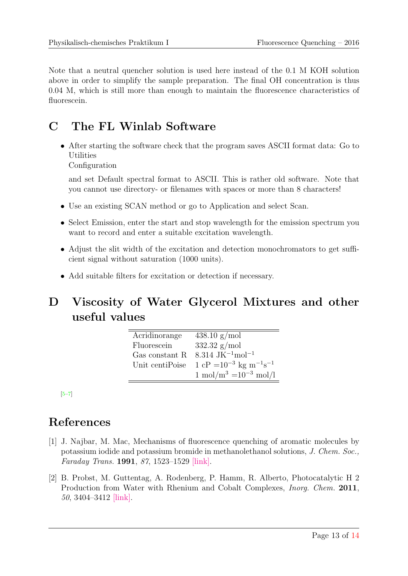Note that a neutral quencher solution is used here instead of the 0.1 M KOH solution above in order to simplify the sample preparation. The final OH concentration is thus 0.04 M, which is still more than enough to maintain the fluorescence characteristics of fluorescein.

### <span id="page-12-0"></span>C The FL Winlab Software

• After starting the software check that the program saves ASCII format data: Go to Utilities

Configuration

and set Default spectral format to ASCII. This is rather old software. Note that you cannot use directory- or filenames with spaces or more than 8 characters!

- Use an existing SCAN method or go to Application and select Scan.
- Select Emission, enter the start and stop wavelength for the emission spectrum you want to record and enter a suitable excitation wavelength.
- Adjust the slit width of the excitation and detection monochromators to get sufficient signal without saturation (1000 units).
- Add suitable filters for excitation or detection if necessary.

## <span id="page-12-1"></span>D Viscosity of Water Glycerol Mixtures and other useful values

| Acridinorange   | $438.10 \text{ g/mol}$                                             |
|-----------------|--------------------------------------------------------------------|
| Fluorescein     | 332.32 $g/mol$                                                     |
| Gas constant R  | 8.314 JK <sup><math>-1</math></sup> mol <sup><math>-1</math></sup> |
| Unit centiPoise | $1 \text{ cP} = 10^{-3} \text{ kg m}^{-1} \text{s}^{-1}$           |
|                 | $1 \text{ mol/m}^3 = 10^{-3} \text{ mol/l}$                        |

[\[5](#page-13-4)[–7\]](#page-13-5)

## References

- <span id="page-12-2"></span>[1] J. Najbar, M. Mac, Mechanisms of fluorescence quenching of aromatic molecules by potassium iodide and potassium bromide in methanolethanol solutions, J. Chem. Soc., Faraday Trans. 1991, 87, 1523–1529 [\[link\].](http://xlink.rsc.org/?DOI=FT9918701523 )
- <span id="page-12-3"></span>[2] B. Probst, M. Guttentag, A. Rodenberg, P. Hamm, R. Alberto, Photocatalytic H 2 Production from Water with Rhenium and Cobalt Complexes, *Inorg. Chem.* 2011, 50, 3404–3412 [\[link\].](http://pubs.acs.org/doi/abs/10.1021/ic102317u )